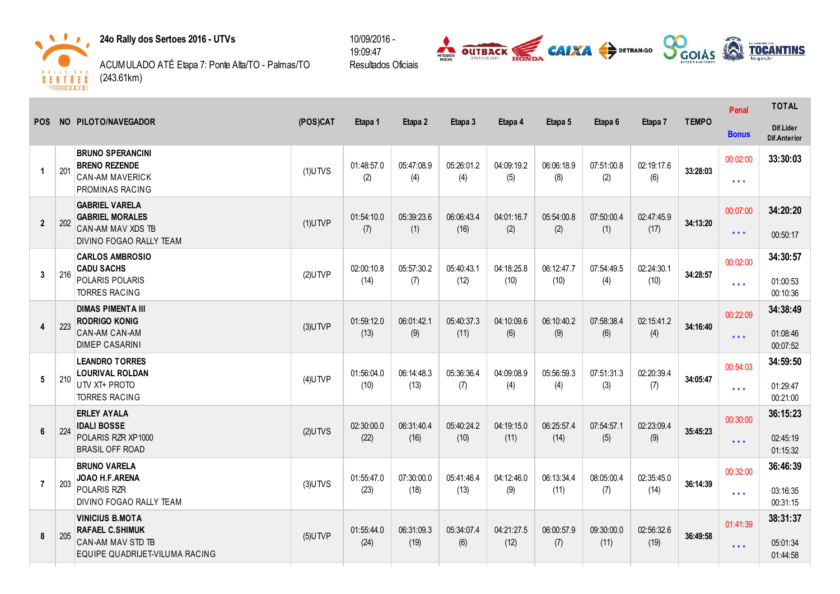



ACUMULADO ATÉ Etapa 7: Ponte Alta/TO Palmas/TO (243.61km)



|                      |     | NO PILOTO/NAVEGADOR                                                                                     | (POS)CAT   | Etapa 1    | Etapa 2    | Etapa 3    | Etapa 4    | Etapa 5            | Etapa 6            |                   |              | Penal                   | <b>TOTAL</b>                     |
|----------------------|-----|---------------------------------------------------------------------------------------------------------|------------|------------|------------|------------|------------|--------------------|--------------------|-------------------|--------------|-------------------------|----------------------------------|
| <b>POS</b>           |     |                                                                                                         |            |            |            |            |            |                    |                    | Etapa 7           | <b>TEMPO</b> | <b>Bonus</b>            | Dif.Lider<br><b>Dif.Anterior</b> |
| $\blacktriangleleft$ | 201 | <b>BRUNO SPERANCINI</b><br><b>BRENO REZENDE</b>                                                         | $(1)$ UTVS | 01:48:57.0 | 05:47:08.9 | 05:26:01.2 | 04:09:19.2 | 06:06:18.9         | 07:51:00.8         | 02:19:17.6        | 33:28:03     | 00:02:00                | 33:30:03                         |
|                      |     | <b>CAN-AM MAVERICK</b><br>PROMINAS RACING                                                               |            | (2)        | (4)        | (4)        | (5)        | (8)                | (2)                | (6)               |              | $\star$ $\star$ $\star$ |                                  |
| $\overline{2}$       | 202 | <b>GABRIEL VARELA</b><br><b>GABRIEL MORALES</b>                                                         | $(1)$ UTVP | 01:54:10.0 | 05:39:23.6 | 06:06:43.4 | 04:01:16.7 | 05:54:00.8         | 07:50:00.4         | 02:47:45.9        | 34:13:20     | 00:07:00                | 34:20:20                         |
|                      |     | CAN-AM MAV XDS TB<br>DIVINO FOGAO RALLY TEAM                                                            |            | (7)        | (1)        | (16)       | (2)        | (2)                | (1)                | (17)              |              | $***$                   | 00:50:17                         |
|                      |     | <b>CARLOS AMBROSIO</b><br><b>CADU SACHS</b>                                                             |            | 02:00:10.8 | 05:57:30.2 | 05:40:43.1 | 04:18:25.8 | 06:12:47.7         | 07:54:49.5         | 02:24:30.1        |              | 00:02:00                | 34:30:57                         |
| 3                    | 216 | POLARIS POLARIS<br><b>TORRES RACING</b>                                                                 | $(2)$ UTVP | (14)       | (7)        | (12)       | (10)       | (10)               | (4)                | (10)              | 34:28:57     | $***$                   | 01:00:53<br>00:10:36             |
|                      |     | <b>DIMAS PIMENTA III</b><br><b>RODRIGO KONIG</b>                                                        |            | 01:59:12.0 | 06:01:42.1 | 05:40:37.3 | 04:10:09.6 | 06:10:40.2<br>(9)  | 07:58:38.4<br>(6)  | 02:15:41.2<br>(4) | 34:16:40     | 00:22:09                | 34:38:49                         |
| 4                    | 223 | <b>CAN-AM CAN-AM</b><br><b>DIMEP CASARINI</b>                                                           | $(3)$ UTVP | (13)       | (9)        | (11)       | (6)        |                    |                    |                   |              | $\star$ $\star$ $\star$ | 01:08:46<br>00:07:52             |
|                      |     | <b>LEANDRO TORRES</b><br><b>LOURIVAL ROLDAN</b>                                                         |            | 01:56:04.0 | 06:14:48.3 | 05:36:36.4 | 04:09:08.9 | 05:56:59.3         | 07:51:31.3         | 02:20:39.4        |              | 00:54:03                | 34:59:50                         |
| 5                    | 210 | UTV XT+ PROTO<br><b>TORRES RACING</b>                                                                   | $(4)$ UTVP | (10)       | (13)       | (7)        | (4)        | (4)                | (3)                | (7)               | 34:05:47     | $\star$ $\star$ $\star$ | 01:29:47<br>00:21:00             |
|                      |     | <b>ERLEY AYALA</b><br><b>IDALI BOSSE</b>                                                                |            | 02:30:00.0 | 06:31:40.4 | 05:40:24.2 | 04:19:15.0 | 06:25:57.4<br>(14) | 07:54:57.1<br>(5)  | 02:23:09.4        |              | 00:30:00                | 36:15:23                         |
| 6                    | 224 | POLARIS RZR XP1000<br><b>BRASIL OFF ROAD</b>                                                            | $(2)$ UTVS | (22)       | (16)       | (10)       | (11)       |                    |                    | (9)               | 35:45:23     | $***$                   | 02:45:19<br>01:15:32             |
|                      |     | <b>BRUNO VARELA</b><br>JOAO H.F.ARENA                                                                   |            | 01:55:47.0 | 07:30:00.0 | 05:41:46.4 | 04:12:46.0 | 06:13:34.4         | 08:05:00.4         | 02:35:45.0        |              | 00:32:00                | 36:46:39                         |
| $\overline{7}$       | 203 | <b>POLARIS RZR</b><br>DIVINO FOGAO RALLY TEAM                                                           | $(3)$ UTVS | (23)       | (18)       | (13)       | (9)        | (11)               | (7)                | (14)              | 36:14:39     | $***$                   | 03:16:35<br>00:31:15             |
| 8                    | 205 | <b>VINICIUS B.MOTA</b><br><b>RAFAEL C.SHIMUK</b><br>CAN-AM MAV STD TB<br>EQUIPE QUADRIJET-VILUMA RACING | $(5)$ UTVP | 01:55:44.0 | 06:31:09.3 | 05:34:07.4 | 04:21:27.5 | 06:00:57.9<br>(7)  | 09:30:00.0<br>(11) | 02:56:32.6        |              | 01:41:39                | 38:31:37                         |
|                      |     |                                                                                                         |            | (24)       | (19)       | (6)        | (12)       |                    |                    | (19)              |              | $***$                   | 05:01:34<br>01:44:58             |
|                      |     |                                                                                                         |            |            |            |            |            |                    |                    |                   | 36:49:58     |                         |                                  |

10/09/2016 19:09:47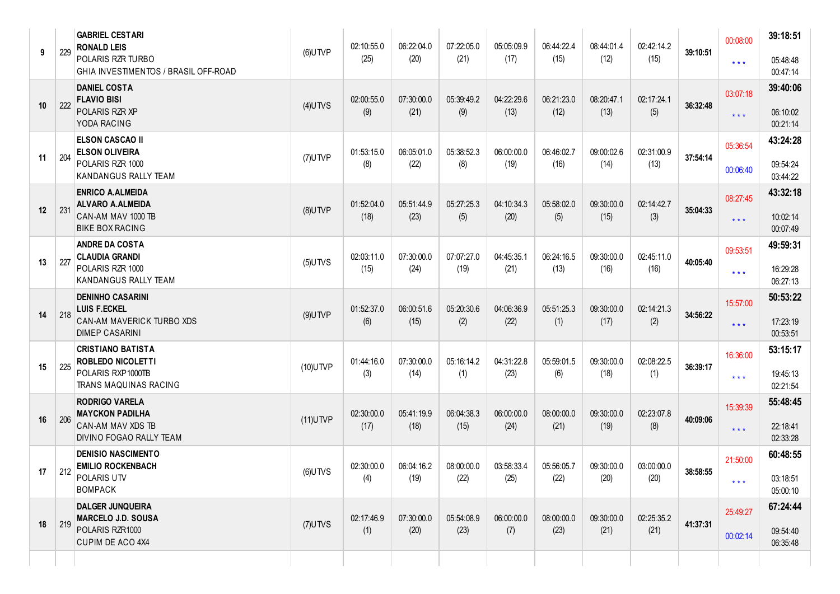| 9  | 229 | <b>GABRIEL CESTARI</b><br><b>RONALD LEIS</b><br>POLARIS RZR TURBO<br>GHIA INVESTIMENTOS / BRASIL OFF-ROAD | $(6)$ UTVP  | 02:10:55.0<br>(25) | 06:22:04.0<br>(20) | 07:22:05.0<br>(21) | 05:05:09.9<br>(17) | 06:44:22.4<br>(15) | 08:44:01.4<br>(12) | 02:42:14.2<br>(15) | 39:10:51 | 00:08:00<br>$\star$ $\star$ $\star$ | 39:18:51<br>05:48:48<br>00:47:14 |
|----|-----|-----------------------------------------------------------------------------------------------------------|-------------|--------------------|--------------------|--------------------|--------------------|--------------------|--------------------|--------------------|----------|-------------------------------------|----------------------------------|
| 10 | 222 | <b>DANIEL COSTA</b><br><b>FLAVIO BISI</b><br>POLARIS RZR XP<br>YODA RACING                                | $(4)$ UTVS  | 02:00:55.0<br>(9)  | 07:30:00.0<br>(21) | 05:39:49.2<br>(9)  | 04:22:29.6<br>(13) | 06:21:23.0<br>(12) | 08:20:47.1<br>(13) | 02:17:24.1<br>(5)  | 36:32:48 | 03:07:18<br>$\star$ $\star$ $\star$ | 39:40:06<br>06:10:02<br>00:21:14 |
| 11 | 204 | <b>ELSON CASCAO II</b><br><b>ELSON OLIVEIRA</b><br>POLARIS RZR 1000<br>KANDANGUS RALLY TEAM               | $(7)$ UTVP  | 01:53:15.0<br>(8)  | 06:05:01.0<br>(22) | 05:38:52.3<br>(8)  | 06:00:00.0<br>(19) | 06:46:02.7<br>(16) | 09:00:02.6<br>(14) | 02:31:00.9<br>(13) | 37:54:14 | 05:36:54<br>00:06:40                | 43:24:28<br>09:54:24<br>03:44:22 |
| 12 | 231 | <b>ENRICO A.ALMEIDA</b><br><b>ALVARO A.ALMEIDA</b><br>CAN-AM MAV 1000 TB<br><b>BIKE BOX RACING</b>        | $(8)$ UTVP  | 01:52:04.0<br>(18) | 05:51:44.9<br>(23) | 05:27:25.3<br>(5)  | 04:10:34.3<br>(20) | 05:58:02.0<br>(5)  | 09:30:00.0<br>(15) | 02:14:42.7<br>(3)  | 35:04:33 | 08:27:45<br>$\star$ $\star$ $\star$ | 43:32:18<br>10:02:14<br>00:07:49 |
| 13 | 227 | <b>ANDRE DA COSTA</b><br><b>CLAUDIA GRANDI</b><br>POLARIS RZR 1000<br>KANDANGUS RALLY TEAM                | $(5)$ UTVS  | 02:03:11.0<br>(15) | 07:30:00.0<br>(24) | 07:07:27.0<br>(19) | 04:45:35.1<br>(21) | 06:24:16.5<br>(13) | 09:30:00.0<br>(16) | 02:45:11.0<br>(16) | 40:05:40 | 09:53:51<br>$\star$ $\star$ $\star$ | 49:59:31<br>16:29:28<br>06:27:13 |
| 14 | 218 | <b>DENINHO CASARINI</b><br><b>LUIS F.ECKEL</b><br>CAN-AM MAVERICK TURBO XDS<br><b>DIMEP CASARINI</b>      | $(9)$ UTVP  | 01:52:37.0<br>(6)  | 06:00:51.6<br>(15) | 05:20:30.6<br>(2)  | 04:06:36.9<br>(22) | 05:51:25.3<br>(1)  | 09:30:00.0<br>(17) | 02:14:21.3<br>(2)  | 34:56:22 | 15:57:00<br>$\star$ $\star$ $\star$ | 50:53:22<br>17:23:19<br>00:53:51 |
| 15 | 225 | <b>CRISTIANO BATISTA</b><br>ROBLEDO NICOLETTI<br>POLARIS RXP1000TB<br>TRANS MAQUINAS RACING               | (10) UTVP   | 01:44:16.0<br>(3)  | 07:30:00.0<br>(14) | 05:16:14.2<br>(1)  | 04:31:22.8<br>(23) | 05:59:01.5<br>(6)  | 09:30:00.0<br>(18) | 02:08:22.5<br>(1)  | 36:39:17 | 16:36:00<br>$\star$ $\star$ $\star$ | 53:15:17<br>19:45:13<br>02:21:54 |
| 16 | 206 | <b>RODRIGO VARELA</b><br><b>MAYCKON PADILHA</b><br>CAN-AM MAV XDS TB<br>DIVINO FOGAO RALLY TEAM           | $(11)$ UTVP | 02:30:00.0<br>(17) | 05:41:19.9<br>(18) | 06:04:38.3<br>(15) | 06:00:00.0<br>(24) | 08:00:00.0<br>(21) | 09:30:00.0<br>(19) | 02:23:07.8<br>(8)  | 40:09:06 | 15:39:39<br>$\star$ $\star$ $\star$ | 55:48:45<br>22:18:41<br>02:33:28 |
| 17 | 212 | <b>DENISIO NASCIMENTO</b><br><b>EMILIO ROCKENBACH</b><br>POLARIS UTV<br><b>BOMPACK</b>                    | $(6)$ UTVS  | 02:30:00.0<br>(4)  | 06:04:16.2<br>(19) | 08:00:00.0<br>(22) | 03:58:33.4<br>(25) | 05:56:05.7<br>(22) | 09:30:00.0<br>(20) | 03:00:00.0<br>(20) | 38:58:55 | 21:50:00<br>$\star$ $\star$ $\star$ | 60:48:55<br>03:18:51<br>05:00:10 |
| 18 | 219 | <b>DALGER JUNQUEIRA</b><br><b>MARCELO J.D. SOUSA</b><br>POLARIS RZR1000<br>CUPIM DE ACO 4X4               | $(7)$ UTVS  | 02:17:46.9<br>(1)  | 07:30:00.0<br>(20) | 05:54:08.9<br>(23) | 06:00:00.0<br>(7)  | 08:00:00.0<br>(23) | 09:30:00.0<br>(21) | 02:25:35.2<br>(21) | 41:37:31 | 25:49:27<br>00:02:14                | 67:24:44<br>09:54:40<br>06:35:48 |
|    |     |                                                                                                           |             |                    |                    |                    |                    |                    |                    |                    |          |                                     |                                  |